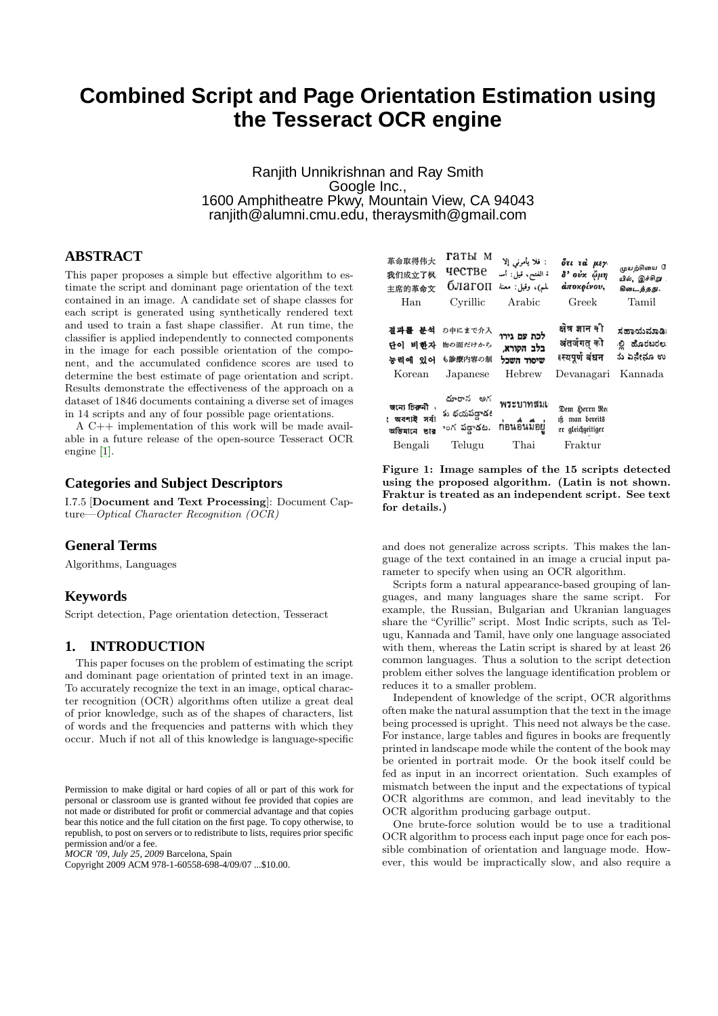# **Combined Script and Page Orientation Estimation using the Tesseract OCR engine**

Ranjith Unnikrishnan and Ray Smith Google Inc., 1600 Amphitheatre Pkwy, Mountain View, CA 94043 ranjith@alumni.cmu.edu, theraysmith@gmail.com

### **ABSTRACT**

This paper proposes a simple but effective algorithm to estimate the script and dominant page orientation of the text contained in an image. A candidate set of shape classes for each script is generated using synthetically rendered text and used to train a fast shape classifier. At run time, the classifier is applied independently to connected components in the image for each possible orientation of the component, and the accumulated confidence scores are used to determine the best estimate of page orientation and script. Results demonstrate the effectiveness of the approach on a dataset of 1846 documents containing a diverse set of images in 14 scripts and any of four possible page orientations.

A C++ implementation of this work will be made available in a future release of the open-source Tesseract OCR engine [\[1\]](#page-6-0).

# **Categories and Subject Descriptors**

I.7.5 [Document and Text Processing]: Document Capture—Optical Character Recognition (OCR)

# **General Terms**

Algorithms, Languages

### **Keywords**

Script detection, Page orientation detection, Tesseract

### **1. INTRODUCTION**

This paper focuses on the problem of estimating the script and dominant page orientation of printed text in an image. To accurately recognize the text in an image, optical character recognition (OCR) algorithms often utilize a great deal of prior knowledge, such as of the shapes of characters, list of words and the frequencies and patterns with which they occur. Much if not all of this knowledge is language-specific

*MOCR '09, July 25, 2009* Barcelona, Spain

Copyright 2009 ACM 978-1-60558-698-4/09/07 ...\$10.00.

| 革命取得伟大                                                     | гаты м                                             | : فلا يأمرني إلا               | δτι τα μεγ                                                      | முயற்சியை ே     |  |  |
|------------------------------------------------------------|----------------------------------------------------|--------------------------------|-----------------------------------------------------------------|-----------------|--|--|
| 我们成立了枫                                                     | честве                                             | ة الفتح، قيل: أسـ              | δ' ούκ ώμη                                                      | யில், இச்சிறு , |  |  |
| 主席的革命文                                                     | благоп                                             | ىلم)، وقيل: معنا.              | άποκρίνου,                                                      | கிடைத்தது.      |  |  |
| Han                                                        | Cyrillic                                           | Arabic                         | Greek                                                           | Tamil           |  |  |
| 결과를 분석                                                     | の中にまで介入                                            | לכת עם גירו                    | क्षेत्र ज्ञान की                                                | ಸಹಾಯವಸಾಡಿ       |  |  |
| 단이 비한자                                                     | 物の面だけから                                            | בלב הקורא,                     | अंतर्जगत् को                                                    | .ಲ್ಲಿ ಹೊರಬರಲು   |  |  |
| 능력에 있어                                                     | も診療内容の制                                            | שיסוד השכל                     | ।स्यपूर्ण बंधन                                                  | ನು ಏನೇನೂ ಉ      |  |  |
| Korean                                                     | Japanese                                           | Hebrew                         | Devanagari                                                      | Kannada         |  |  |
| জন্যে চিরুনী ৷<br>ং অবশ্যই সর্ব।<br>অভিমানে তার<br>Bengali | దూరాన అగ<br>కు భయపడ్డాడకి<br>ంగ పడ్డాడట.<br>Telugu | พระบาทสมเ<br>กอนอนมอยู<br>Thai | Dem Herrn Rec<br>16 man bereits<br>er gleichzeitiger<br>Fraktur |                 |  |  |

Figure 1: Image samples of the 15 scripts detected using the proposed algorithm. (Latin is not shown. Fraktur is treated as an independent script. See text for details.)

and does not generalize across scripts. This makes the language of the text contained in an image a crucial input parameter to specify when using an OCR algorithm.

Scripts form a natural appearance-based grouping of languages, and many languages share the same script. For example, the Russian, Bulgarian and Ukranian languages share the "Cyrillic" script. Most Indic scripts, such as Telugu, Kannada and Tamil, have only one language associated with them, whereas the Latin script is shared by at least 26 common languages. Thus a solution to the script detection problem either solves the language identification problem or reduces it to a smaller problem.

Independent of knowledge of the script, OCR algorithms often make the natural assumption that the text in the image being processed is upright. This need not always be the case. For instance, large tables and figures in books are frequently printed in landscape mode while the content of the book may be oriented in portrait mode. Or the book itself could be fed as input in an incorrect orientation. Such examples of mismatch between the input and the expectations of typical OCR algorithms are common, and lead inevitably to the OCR algorithm producing garbage output.

One brute-force solution would be to use a traditional OCR algorithm to process each input page once for each possible combination of orientation and language mode. However, this would be impractically slow, and also require a

Permission to make digital or hard copies of all or part of this work for personal or classroom use is granted without fee provided that copies are not made or distributed for profit or commercial advantage and that copies bear this notice and the full citation on the first page. To copy otherwise, to republish, to post on servers or to redistribute to lists, requires prior specific permission and/or a fee.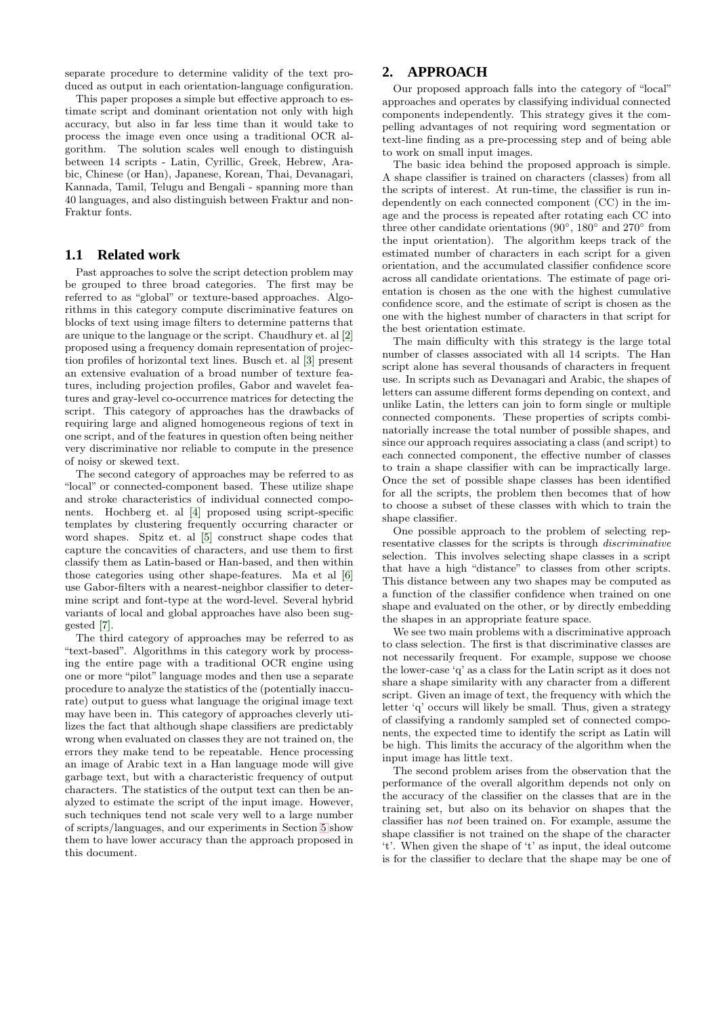separate procedure to determine validity of the text produced as output in each orientation-language configuration.

This paper proposes a simple but effective approach to estimate script and dominant orientation not only with high accuracy, but also in far less time than it would take to process the image even once using a traditional OCR algorithm. The solution scales well enough to distinguish between 14 scripts - Latin, Cyrillic, Greek, Hebrew, Arabic, Chinese (or Han), Japanese, Korean, Thai, Devanagari, Kannada, Tamil, Telugu and Bengali - spanning more than 40 languages, and also distinguish between Fraktur and non-Fraktur fonts.

### <span id="page-1-0"></span>**1.1 Related work**

Past approaches to solve the script detection problem may be grouped to three broad categories. The first may be referred to as "global" or texture-based approaches. Algorithms in this category compute discriminative features on blocks of text using image filters to determine patterns that are unique to the language or the script. Chaudhury et. al [\[2\]](#page-6-1) proposed using a frequency domain representation of projection profiles of horizontal text lines. Busch et. al [\[3\]](#page-6-2) present an extensive evaluation of a broad number of texture features, including projection profiles, Gabor and wavelet features and gray-level co-occurrence matrices for detecting the script. This category of approaches has the drawbacks of requiring large and aligned homogeneous regions of text in one script, and of the features in question often being neither very discriminative nor reliable to compute in the presence of noisy or skewed text.

The second category of approaches may be referred to as "local" or connected-component based. These utilize shape and stroke characteristics of individual connected components. Hochberg et. al [\[4\]](#page-6-3) proposed using script-specific templates by clustering frequently occurring character or word shapes. Spitz et. al [\[5\]](#page-6-4) construct shape codes that capture the concavities of characters, and use them to first classify them as Latin-based or Han-based, and then within those categories using other shape-features. Ma et al [\[6\]](#page-6-5) use Gabor-filters with a nearest-neighbor classifier to determine script and font-type at the word-level. Several hybrid variants of local and global approaches have also been suggested [\[7\]](#page-6-6).

The third category of approaches may be referred to as "text-based". Algorithms in this category work by processing the entire page with a traditional OCR engine using one or more "pilot" language modes and then use a separate procedure to analyze the statistics of the (potentially inaccurate) output to guess what language the original image text may have been in. This category of approaches cleverly utilizes the fact that although shape classifiers are predictably wrong when evaluated on classes they are not trained on, the errors they make tend to be repeatable. Hence processing an image of Arabic text in a Han language mode will give garbage text, but with a characteristic frequency of output characters. The statistics of the output text can then be analyzed to estimate the script of the input image. However, such techniques tend not scale very well to a large number of scripts/languages, and our experiments in Section [5](#page-4-0) show them to have lower accuracy than the approach proposed in this document.

# **2. APPROACH**

Our proposed approach falls into the category of "local" approaches and operates by classifying individual connected components independently. This strategy gives it the compelling advantages of not requiring word segmentation or text-line finding as a pre-processing step and of being able to work on small input images.

The basic idea behind the proposed approach is simple. A shape classifier is trained on characters (classes) from all the scripts of interest. At run-time, the classifier is run independently on each connected component (CC) in the image and the process is repeated after rotating each CC into three other candidate orientations  $(90^{\circ}, 180^{\circ} \text{ and } 270^{\circ} \text{ from}$ the input orientation). The algorithm keeps track of the estimated number of characters in each script for a given orientation, and the accumulated classifier confidence score across all candidate orientations. The estimate of page orientation is chosen as the one with the highest cumulative confidence score, and the estimate of script is chosen as the one with the highest number of characters in that script for the best orientation estimate.

The main difficulty with this strategy is the large total number of classes associated with all 14 scripts. The Han script alone has several thousands of characters in frequent use. In scripts such as Devanagari and Arabic, the shapes of letters can assume different forms depending on context, and unlike Latin, the letters can join to form single or multiple connected components. These properties of scripts combinatorially increase the total number of possible shapes, and since our approach requires associating a class (and script) to each connected component, the effective number of classes to train a shape classifier with can be impractically large. Once the set of possible shape classes has been identified for all the scripts, the problem then becomes that of how to choose a subset of these classes with which to train the shape classifier.

One possible approach to the problem of selecting representative classes for the scripts is through discriminative selection. This involves selecting shape classes in a script that have a high "distance" to classes from other scripts. This distance between any two shapes may be computed as a function of the classifier confidence when trained on one shape and evaluated on the other, or by directly embedding the shapes in an appropriate feature space.

We see two main problems with a discriminative approach to class selection. The first is that discriminative classes are not necessarily frequent. For example, suppose we choose the lower-case 'q' as a class for the Latin script as it does not share a shape similarity with any character from a different script. Given an image of text, the frequency with which the letter 'q' occurs will likely be small. Thus, given a strategy of classifying a randomly sampled set of connected components, the expected time to identify the script as Latin will be high. This limits the accuracy of the algorithm when the input image has little text.

The second problem arises from the observation that the performance of the overall algorithm depends not only on the accuracy of the classifier on the classes that are in the training set, but also on its behavior on shapes that the classifier has not been trained on. For example, assume the shape classifier is not trained on the shape of the character 't'. When given the shape of 't' as input, the ideal outcome is for the classifier to declare that the shape may be one of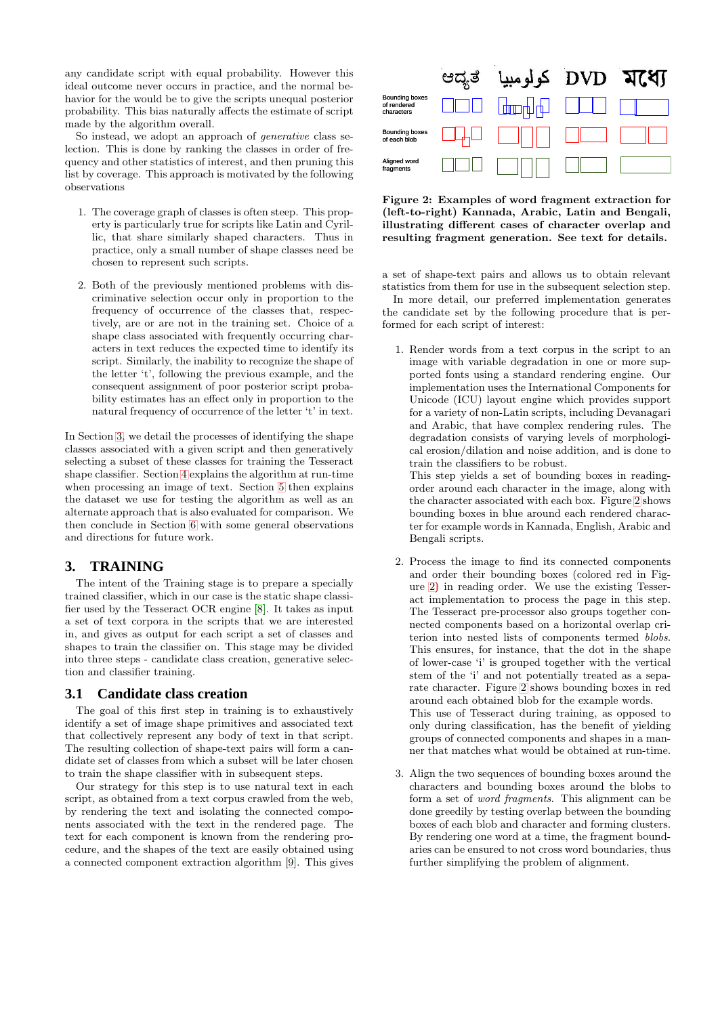any candidate script with equal probability. However this ideal outcome never occurs in practice, and the normal behavior for the would be to give the scripts unequal posterior probability. This bias naturally affects the estimate of script made by the algorithm overall.

So instead, we adopt an approach of generative class selection. This is done by ranking the classes in order of frequency and other statistics of interest, and then pruning this list by coverage. This approach is motivated by the following observations

- 1. The coverage graph of classes is often steep. This property is particularly true for scripts like Latin and Cyrillic, that share similarly shaped characters. Thus in practice, only a small number of shape classes need be chosen to represent such scripts.
- 2. Both of the previously mentioned problems with discriminative selection occur only in proportion to the frequency of occurrence of the classes that, respectively, are or are not in the training set. Choice of a shape class associated with frequently occurring characters in text reduces the expected time to identify its script. Similarly, the inability to recognize the shape of the letter 't', following the previous example, and the consequent assignment of poor posterior script probability estimates has an effect only in proportion to the natural frequency of occurrence of the letter 't' in text.

In Section [3,](#page-2-0) we detail the processes of identifying the shape classes associated with a given script and then generatively selecting a subset of these classes for training the Tesseract shape classifier. Section [4](#page-3-0) explains the algorithm at run-time when processing an image of text. Section [5](#page-4-0) then explains the dataset we use for testing the algorithm as well as an alternate approach that is also evaluated for comparison. We then conclude in Section [6](#page-5-0) with some general observations and directions for future work.

# <span id="page-2-0"></span>**3. TRAINING**

The intent of the Training stage is to prepare a specially trained classifier, which in our case is the static shape classifier used by the Tesseract OCR engine [\[8\]](#page-6-7). It takes as input a set of text corpora in the scripts that we are interested in, and gives as output for each script a set of classes and shapes to train the classifier on. This stage may be divided into three steps - candidate class creation, generative selection and classifier training.

## <span id="page-2-2"></span>**3.1 Candidate class creation**

The goal of this first step in training is to exhaustively identify a set of image shape primitives and associated text that collectively represent any body of text in that script. The resulting collection of shape-text pairs will form a candidate set of classes from which a subset will be later chosen to train the shape classifier with in subsequent steps.

Our strategy for this step is to use natural text in each script, as obtained from a text corpus crawled from the web, by rendering the text and isolating the connected components associated with the text in the rendered page. The text for each component is known from the rendering procedure, and the shapes of the text are easily obtained using a connected component extraction algorithm [\[9\]](#page-6-8). This gives



<span id="page-2-1"></span>Figure 2: Examples of word fragment extraction for (left-to-right) Kannada, Arabic, Latin and Bengali, illustrating different cases of character overlap and resulting fragment generation. See text for details.

a set of shape-text pairs and allows us to obtain relevant statistics from them for use in the subsequent selection step.

In more detail, our preferred implementation generates the candidate set by the following procedure that is performed for each script of interest:

1. Render words from a text corpus in the script to an image with variable degradation in one or more supported fonts using a standard rendering engine. Our implementation uses the International Components for Unicode (ICU) layout engine which provides support for a variety of non-Latin scripts, including Devanagari and Arabic, that have complex rendering rules. The degradation consists of varying levels of morphological erosion/dilation and noise addition, and is done to train the classifiers to be robust. This step yields a set of bounding boxes in reading-

order around each character in the image, along with the character associated with each box. Figure [2](#page-2-1) shows bounding boxes in blue around each rendered character for example words in Kannada, English, Arabic and Bengali scripts.

- 2. Process the image to find its connected components and order their bounding boxes (colored red in Figure [2\)](#page-2-1) in reading order. We use the existing Tesseract implementation to process the page in this step. The Tesseract pre-processor also groups together connected components based on a horizontal overlap criterion into nested lists of components termed blobs. This ensures, for instance, that the dot in the shape of lower-case 'i' is grouped together with the vertical stem of the 'i' and not potentially treated as a separate character. Figure [2](#page-2-1) shows bounding boxes in red around each obtained blob for the example words. This use of Tesseract during training, as opposed to only during classification, has the benefit of yielding groups of connected components and shapes in a manner that matches what would be obtained at run-time.
- 3. Align the two sequences of bounding boxes around the characters and bounding boxes around the blobs to form a set of word fragments. This alignment can be done greedily by testing overlap between the bounding boxes of each blob and character and forming clusters. By rendering one word at a time, the fragment boundaries can be ensured to not cross word boundaries, thus further simplifying the problem of alignment.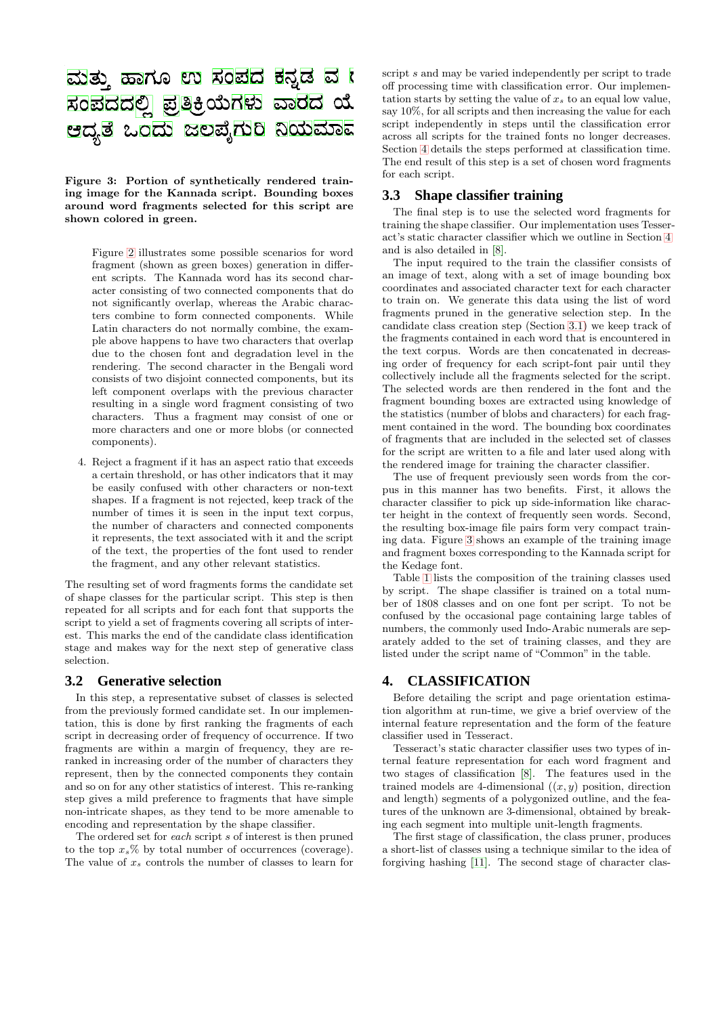# <mark>ಮ</mark>ತ್ತು ಹಾಗೂ ಉ ಸಂಪದ ಕನ್ನಡ ವ t <mark>ಸಂಪದದ</mark>ಲ್ಲಿ ಪ್ರತಿಕ್ರಿಯೆಗಳು ವಾ<mark>ರದ</mark> ಯ ಆದ್ಯತೆ ಒಂದು ಜಲಪೈಗುರಿ ನಿಯಮಾಪ

### <span id="page-3-1"></span>Figure 3: Portion of synthetically rendered training image for the Kannada script. Bounding boxes around word fragments selected for this script are shown colored in green.

Figure [2](#page-2-1) illustrates some possible scenarios for word fragment (shown as green boxes) generation in different scripts. The Kannada word has its second character consisting of two connected components that do not significantly overlap, whereas the Arabic characters combine to form connected components. While Latin characters do not normally combine, the example above happens to have two characters that overlap due to the chosen font and degradation level in the rendering. The second character in the Bengali word consists of two disjoint connected components, but its left component overlaps with the previous character resulting in a single word fragment consisting of two characters. Thus a fragment may consist of one or more characters and one or more blobs (or connected components).

4. Reject a fragment if it has an aspect ratio that exceeds a certain threshold, or has other indicators that it may be easily confused with other characters or non-text shapes. If a fragment is not rejected, keep track of the number of times it is seen in the input text corpus, the number of characters and connected components it represents, the text associated with it and the script of the text, the properties of the font used to render the fragment, and any other relevant statistics.

The resulting set of word fragments forms the candidate set of shape classes for the particular script. This step is then repeated for all scripts and for each font that supports the script to yield a set of fragments covering all scripts of interest. This marks the end of the candidate class identification stage and makes way for the next step of generative class selection.

### **3.2 Generative selection**

In this step, a representative subset of classes is selected from the previously formed candidate set. In our implementation, this is done by first ranking the fragments of each script in decreasing order of frequency of occurrence. If two fragments are within a margin of frequency, they are reranked in increasing order of the number of characters they represent, then by the connected components they contain and so on for any other statistics of interest. This re-ranking step gives a mild preference to fragments that have simple non-intricate shapes, as they tend to be more amenable to encoding and representation by the shape classifier.

The ordered set for each script s of interest is then pruned to the top  $x_s\%$  by total number of occurrences (coverage). The value of  $x_s$  controls the number of classes to learn for script s and may be varied independently per script to trade off processing time with classification error. Our implementation starts by setting the value of  $x_s$  to an equal low value, say 10%, for all scripts and then increasing the value for each script independently in steps until the classification error across all scripts for the trained fonts no longer decreases. Section [4](#page-3-0) details the steps performed at classification time. The end result of this step is a set of chosen word fragments for each script.

### **3.3 Shape classifier training**

The final step is to use the selected word fragments for training the shape classifier. Our implementation uses Tesseract's static character classifier which we outline in Section [4](#page-3-0) and is also detailed in [\[8\]](#page-6-7).

The input required to the train the classifier consists of an image of text, along with a set of image bounding box coordinates and associated character text for each character to train on. We generate this data using the list of word fragments pruned in the generative selection step. In the candidate class creation step (Section [3.1\)](#page-2-2) we keep track of the fragments contained in each word that is encountered in the text corpus. Words are then concatenated in decreasing order of frequency for each script-font pair until they collectively include all the fragments selected for the script. The selected words are then rendered in the font and the fragment bounding boxes are extracted using knowledge of the statistics (number of blobs and characters) for each fragment contained in the word. The bounding box coordinates of fragments that are included in the selected set of classes for the script are written to a file and later used along with the rendered image for training the character classifier.

The use of frequent previously seen words from the corpus in this manner has two benefits. First, it allows the character classifier to pick up side-information like character height in the context of frequently seen words. Second, the resulting box-image file pairs form very compact training data. Figure [3](#page-3-1) shows an example of the training image and fragment boxes corresponding to the Kannada script for the Kedage font.

Table [1](#page-4-1) lists the composition of the training classes used by script. The shape classifier is trained on a total number of 1808 classes and on one font per script. To not be confused by the occasional page containing large tables of numbers, the commonly used Indo-Arabic numerals are separately added to the set of training classes, and they are listed under the script name of "Common" in the table.

### <span id="page-3-0"></span>**4. CLASSIFICATION**

Before detailing the script and page orientation estimation algorithm at run-time, we give a brief overview of the internal feature representation and the form of the feature classifier used in Tesseract.

Tesseract's static character classifier uses two types of internal feature representation for each word fragment and two stages of classification [\[8\]](#page-6-7). The features used in the trained models are 4-dimensional  $((x, y)$  position, direction and length) segments of a polygonized outline, and the features of the unknown are 3-dimensional, obtained by breaking each segment into multiple unit-length fragments.

The first stage of classification, the class pruner, produces a short-list of classes using a technique similar to the idea of forgiving hashing [\[11\]](#page-6-9). The second stage of character clas-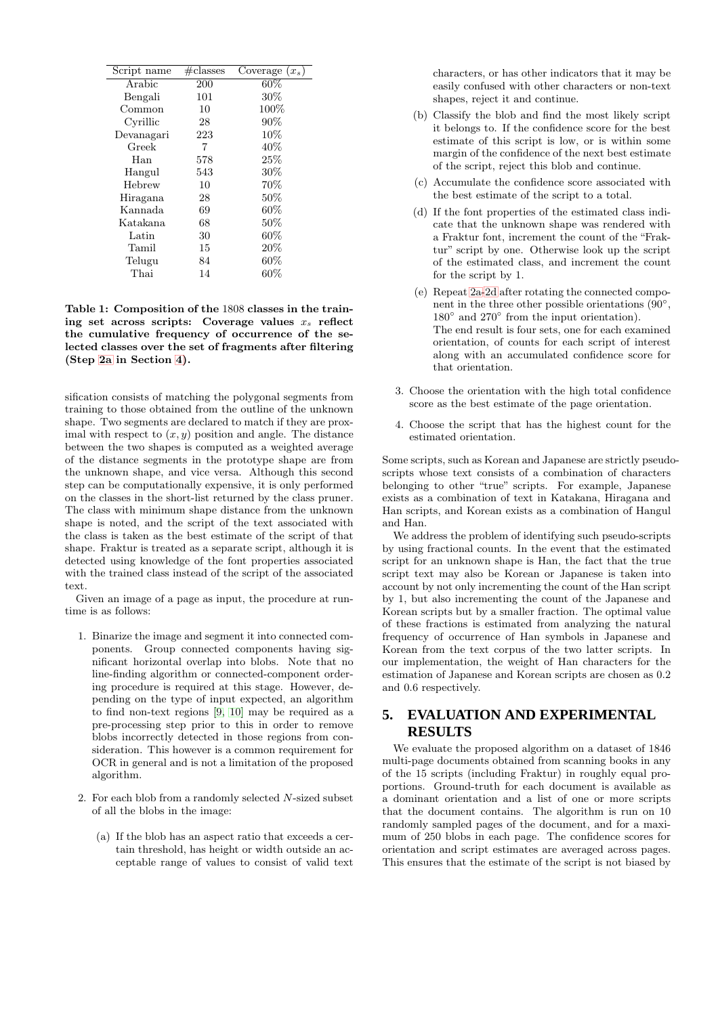| Script name | $\#\text{classes}$ | Coverage<br>$(x_s)$ |
|-------------|--------------------|---------------------|
| Arabic      | 200                | 60%                 |
| Bengali     | 101                | $30\%$              |
| Common      | 10                 | 100%                |
| Cyrillic    | 28                 | 90%                 |
| Devanagari  | 223                | 10%                 |
| Greek       | 7                  | 40%                 |
| Han         | 578                | 25\%                |
| Hangul      | 543                | 30%                 |
| Hebrew      | 10                 | 70%                 |
| Hiragana    | 28                 | 50%                 |
| Kannada     | 69                 | 60%                 |
| Katakana    | 68                 | 50%                 |
| Latin       | 30                 | 60%                 |
| Tamil       | 15                 | 20%                 |
| Telugu      | 84                 | 60%                 |
| Thai        | 14                 | $60\%$              |

<span id="page-4-1"></span>Table 1: Composition of the 1808 classes in the training set across scripts: Coverage values  $x_s$  reflect the cumulative frequency of occurrence of the selected classes over the set of fragments after filtering (Step [2a](#page-4-2) in Section [4\)](#page-3-0).

sification consists of matching the polygonal segments from training to those obtained from the outline of the unknown shape. Two segments are declared to match if they are proximal with respect to  $(x, y)$  position and angle. The distance between the two shapes is computed as a weighted average of the distance segments in the prototype shape are from the unknown shape, and vice versa. Although this second step can be computationally expensive, it is only performed on the classes in the short-list returned by the class pruner. The class with minimum shape distance from the unknown shape is noted, and the script of the text associated with the class is taken as the best estimate of the script of that shape. Fraktur is treated as a separate script, although it is detected using knowledge of the font properties associated with the trained class instead of the script of the associated text.

Given an image of a page as input, the procedure at runtime is as follows:

- 1. Binarize the image and segment it into connected components. Group connected components having significant horizontal overlap into blobs. Note that no line-finding algorithm or connected-component ordering procedure is required at this stage. However, depending on the type of input expected, an algorithm to find non-text regions [\[9,](#page-6-8) [10\]](#page-6-10) may be required as a pre-processing step prior to this in order to remove blobs incorrectly detected in those regions from consideration. This however is a common requirement for OCR in general and is not a limitation of the proposed algorithm.
- <span id="page-4-2"></span>2. For each blob from a randomly selected  $N$ -sized subset of all the blobs in the image:
	- (a) If the blob has an aspect ratio that exceeds a certain threshold, has height or width outside an acceptable range of values to consist of valid text

characters, or has other indicators that it may be easily confused with other characters or non-text shapes, reject it and continue.

- (b) Classify the blob and find the most likely script it belongs to. If the confidence score for the best estimate of this script is low, or is within some margin of the confidence of the next best estimate of the script, reject this blob and continue.
- (c) Accumulate the confidence score associated with the best estimate of the script to a total.
- <span id="page-4-3"></span>(d) If the font properties of the estimated class indicate that the unknown shape was rendered with a Fraktur font, increment the count of the "Fraktur" script by one. Otherwise look up the script of the estimated class, and increment the count for the script by 1.
- (e) Repeat [2a-](#page-4-2)[2d](#page-4-3) after rotating the connected component in the three other possible orientations  $(90^{\circ},$ 180<sup>°</sup> and 270<sup>°</sup> from the input orientation). The end result is four sets, one for each examined orientation, of counts for each script of interest along with an accumulated confidence score for that orientation.
- 3. Choose the orientation with the high total confidence score as the best estimate of the page orientation.
- 4. Choose the script that has the highest count for the estimated orientation.

Some scripts, such as Korean and Japanese are strictly pseudoscripts whose text consists of a combination of characters belonging to other "true" scripts. For example, Japanese exists as a combination of text in Katakana, Hiragana and Han scripts, and Korean exists as a combination of Hangul and Han.

We address the problem of identifying such pseudo-scripts by using fractional counts. In the event that the estimated script for an unknown shape is Han, the fact that the true script text may also be Korean or Japanese is taken into account by not only incrementing the count of the Han script by 1, but also incrementing the count of the Japanese and Korean scripts but by a smaller fraction. The optimal value of these fractions is estimated from analyzing the natural frequency of occurrence of Han symbols in Japanese and Korean from the text corpus of the two latter scripts. In our implementation, the weight of Han characters for the estimation of Japanese and Korean scripts are chosen as 0.2 and 0.6 respectively.

# <span id="page-4-0"></span>**5. EVALUATION AND EXPERIMENTAL RESULTS**

We evaluate the proposed algorithm on a dataset of 1846 multi-page documents obtained from scanning books in any of the 15 scripts (including Fraktur) in roughly equal proportions. Ground-truth for each document is available as a dominant orientation and a list of one or more scripts that the document contains. The algorithm is run on 10 randomly sampled pages of the document, and for a maximum of 250 blobs in each page. The confidence scores for orientation and script estimates are averaged across pages. This ensures that the estimate of the script is not biased by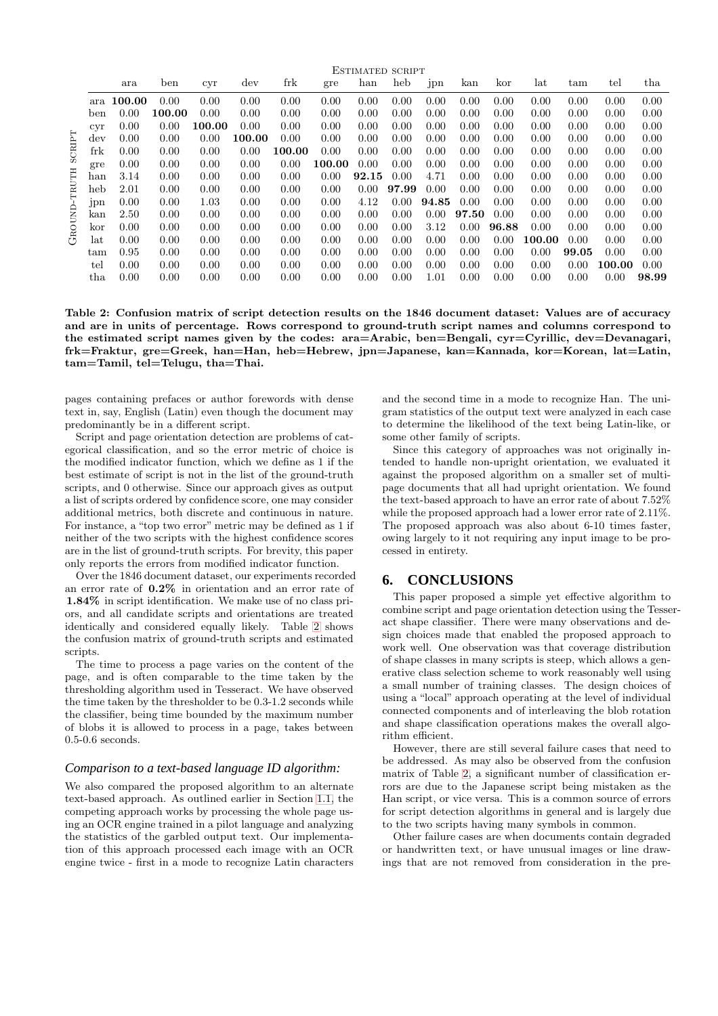|                 |               | ESTIMATED SCRIPT |        |        |        |        |        |       |       |       |       |       |        |        |        |              |
|-----------------|---------------|------------------|--------|--------|--------|--------|--------|-------|-------|-------|-------|-------|--------|--------|--------|--------------|
|                 |               | ara              | ben    | cyr    | dev    | frk    | gre    | han   | heb   | jpn   | kan   | kor   | lat    | $\tan$ | tel    | $_{\rm tha}$ |
|                 | ara           | 100.00           | 0.00   | 0.00   | 0.00   | 0.00   | 0.00   | 0.00  | 0.00  | 0.00  | 0.00  | 0.00  | 0.00   | 0.00   | 0.00   | 0.00         |
| SCRIPT<br>TRUTH | ben           | 0.00             | 100.00 | 0.00   | 0.00   | 0.00   | 0.00   | 0.00  | 0.00  | 0.00  | 0.00  | 0.00  | 0.00   | 0.00   | 0.00   | 0.00         |
|                 | cyr           | 0.00             | 0.00   | 100.00 | 0.00   | 0.00   | 0.00   | 0.00  | 0.00  | 0.00  | 0.00  | 0.00  | 0.00   | 0.00   | 0.00   | 0.00         |
|                 | dev           | 0.00             | 0.00   | 0.00   | 100.00 | 0.00   | 0.00   | 0.00  | 0.00  | 0.00  | 0.00  | 0.00  | 0.00   | 0.00   | 0.00   | 0.00         |
|                 | frk           | 0.00             | 0.00   | 0.00   | 0.00   | 100.00 | 0.00   | 0.00  | 0.00  | 0.00  | 0.00  | 0.00  | 0.00   | 0.00   | 0.00   | 0.00         |
|                 | gre           | 0.00             | 0.00   | 0.00   | 0.00   | 0.00   | 100.00 | 0.00  | 0.00  | 0.00  | 0.00  | 0.00  | 0.00   | 0.00   | 0.00   | 0.00         |
|                 | han           | 3.14             | 0.00   | 0.00   | 0.00   | 0.00   | 0.00   | 92.15 | 0.00  | 4.71  | 0.00  | 0.00  | 0.00   | 0.00   | 0.00   | 0.00         |
|                 | $_{\rm{heb}}$ | 2.01             | 0.00   | 0.00   | 0.00   | 0.00   | 0.00   | 0.00  | 97.99 | 0.00  | 0.00  | 0.00  | 0.00   | 0.00   | 0.00   | 0.00         |
|                 | jpn           | 0.00             | 0.00   | 1.03   | 0.00   | 0.00   | 0.00   | 4.12  | 0.00  | 94.85 | 0.00  | 0.00  | 0.00   | 0.00   | 0.00   | 0.00         |
|                 | kan           | 2.50             | 0.00   | 0.00   | 0.00   | 0.00   | 0.00   | 0.00  | 0.00  | 0.00  | 97.50 | 0.00  | 0.00   | 0.00   | 0.00   | 0.00         |
| GROUND-         | kor           | 0.00             | 0.00   | 0.00   | 0.00   | 0.00   | 0.00   | 0.00  | 0.00  | 3.12  | 0.00  | 96.88 | 0.00   | 0.00   | 0.00   | 0.00         |
|                 | lat           | 0.00             | 0.00   | 0.00   | 0.00   | 0.00   | 0.00   | 0.00  | 0.00  | 0.00  | 0.00  | 0.00  | 100.00 | 0.00   | 0.00   | 0.00         |
|                 | tam           | 0.95             | 0.00   | 0.00   | 0.00   | 0.00   | 0.00   | 0.00  | 0.00  | 0.00  | 0.00  | 0.00  | 0.00   | 99.05  | 0.00   | 0.00         |
|                 | tel           | 0.00             | 0.00   | 0.00   | 0.00   | 0.00   | 0.00   | 0.00  | 0.00  | 0.00  | 0.00  | 0.00  | 0.00   | 0.00   | 100.00 | 0.00         |
|                 | tha           | 0.00             | 0.00   | 0.00   | 0.00   | 0.00   | 0.00   | 0.00  | 0.00  | 1.01  | 0.00  | 0.00  | 0.00   | 0.00   | 0.00   | 98.99        |

<span id="page-5-1"></span>Table 2: Confusion matrix of script detection results on the 1846 document dataset: Values are of accuracy and are in units of percentage. Rows correspond to ground-truth script names and columns correspond to the estimated script names given by the codes: ara=Arabic, ben=Bengali, cyr=Cyrillic, dev=Devanagari, frk=Fraktur, gre=Greek, han=Han, heb=Hebrew, jpn=Japanese, kan=Kannada, kor=Korean, lat=Latin, tam=Tamil, tel=Telugu, tha=Thai.

pages containing prefaces or author forewords with dense text in, say, English (Latin) even though the document may predominantly be in a different script.

Script and page orientation detection are problems of categorical classification, and so the error metric of choice is the modified indicator function, which we define as 1 if the best estimate of script is not in the list of the ground-truth scripts, and 0 otherwise. Since our approach gives as output a list of scripts ordered by confidence score, one may consider additional metrics, both discrete and continuous in nature. For instance, a "top two error" metric may be defined as 1 if neither of the two scripts with the highest confidence scores are in the list of ground-truth scripts. For brevity, this paper only reports the errors from modified indicator function.

Over the 1846 document dataset, our experiments recorded an error rate of 0.2% in orientation and an error rate of 1.84% in script identification. We make use of no class priors, and all candidate scripts and orientations are treated identically and considered equally likely. Table [2](#page-5-1) shows the confusion matrix of ground-truth scripts and estimated scripts.

The time to process a page varies on the content of the page, and is often comparable to the time taken by the thresholding algorithm used in Tesseract. We have observed the time taken by the thresholder to be 0.3-1.2 seconds while the classifier, being time bounded by the maximum number of blobs it is allowed to process in a page, takes between 0.5-0.6 seconds.

#### *Comparison to a text-based language ID algorithm:*

We also compared the proposed algorithm to an alternate text-based approach. As outlined earlier in Section [1.1,](#page-1-0) the competing approach works by processing the whole page using an OCR engine trained in a pilot language and analyzing the statistics of the garbled output text. Our implementation of this approach processed each image with an OCR engine twice - first in a mode to recognize Latin characters

and the second time in a mode to recognize Han. The unigram statistics of the output text were analyzed in each case to determine the likelihood of the text being Latin-like, or some other family of scripts.

Since this category of approaches was not originally intended to handle non-upright orientation, we evaluated it against the proposed algorithm on a smaller set of multipage documents that all had upright orientation. We found the text-based approach to have an error rate of about 7.52% while the proposed approach had a lower error rate of 2.11%. The proposed approach was also about 6-10 times faster, owing largely to it not requiring any input image to be processed in entirety.

# <span id="page-5-0"></span>**6. CONCLUSIONS**

This paper proposed a simple yet effective algorithm to combine script and page orientation detection using the Tesseract shape classifier. There were many observations and design choices made that enabled the proposed approach to work well. One observation was that coverage distribution of shape classes in many scripts is steep, which allows a generative class selection scheme to work reasonably well using a small number of training classes. The design choices of using a "local" approach operating at the level of individual connected components and of interleaving the blob rotation and shape classification operations makes the overall algorithm efficient.

However, there are still several failure cases that need to be addressed. As may also be observed from the confusion matrix of Table [2,](#page-5-1) a significant number of classification errors are due to the Japanese script being mistaken as the Han script, or vice versa. This is a common source of errors for script detection algorithms in general and is largely due to the two scripts having many symbols in common.

Other failure cases are when documents contain degraded or handwritten text, or have unusual images or line drawings that are not removed from consideration in the pre